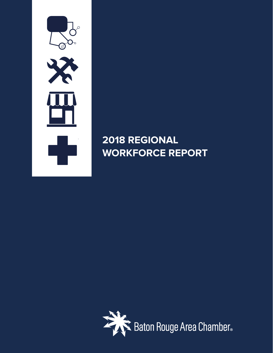

# **2018 REGIONAL WORKFORCE REPORT**

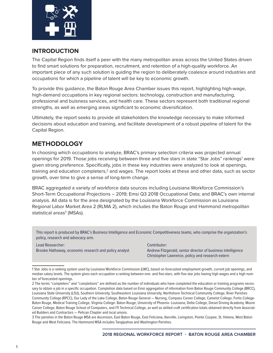

#### **INTRODUCTION**

The Capital Region finds itself a peer with the many metropolitan areas across the United States driven to find smart solutions for preparation, recruitment, and retention of a high-quality workforce. An important piece of any such solution is guiding the region to deliberately coalesce around industries and occupations for which a pipeline of talent will be key to economic growth.

To provide this guidance, the Baton Rouge Area Chamber issues this report, highlighting high-wage, high-demand occupations in key regional sectors: technology, construction and manufacturing, professional and buisness services, and health care. These sectors represent both traditional regional strengths, as well as emerging areas significant to economic diversification.

Ultimately, the report seeks to provide all stakeholders the knowledge necessary to make informed decisions about education and training, and facilitate development of a robust pipeline of talent for the Capital Region.

# **METHODOLOGY**

In choosing which occupations to analyze, BRAC's primary selection criteria was projected annual openings for 2019. Those jobs receiving between three and five stars in state "Star Jobs" rankings<sup>1</sup> were given strong preference. Specifically, jobs in these key industries were analyzed to look at openings, training and education completers,<sup>2</sup> and wages. The report looks at these and other data, such as sector growth, over time to give a sense of long-term change.

BRAC aggregated a variety of workforce data sources including Louisiana Workforce Commission's Short-Term Occupational Projections – 2019; Emsi Q3 2018 Occupational Data; and BRAC's own internal analysis. All data is for the area designated by the Louisiana Workforce Commission as Louisiana Regional Labor Market Area 2 (RLMA 2), which includes the Baton Rouge and Hammond metropolitan statistical areas<sup>3</sup> (MSAs).

This report is produced by BRAC's Business Intelligence and Economic Competitiveness teams, who comprise the organization's policy, research and advocacy arm.

Lead Researcher: Brooke Hathaway, economic research and policy analyst Contributor: Andrew Fitzgerald, senior director of business intelligence Christopher Lawrence, policy and research extern

<sup>1</sup> Star Jobs is a ranking system used by Louisiana Workforce Commission (LWC), based on forecasted employment growth, current job openings, and median salary levels. The system gives each occupation a ranking between one- and five-stars, with five-star jobs having high wages and a high number of forecasted openings.

<sup>2</sup> The terms "completers" and "completions" are defined as the number of individuals who have completed the education or training programs necessary to obtain a job in a specific occupation. Completion data based on Emsi aggregation of information from Baton Rouge Community College (BRCC), Louisiana State University (LSU), Southern University, Southeastern Louisiana University, Northshore Technical Community College, River Parishes Community College (RPCC), Our Lady of the Lake College, Baton Rouge General — Nursing, Compass Career College, Camelot College, Fortis College-Baton Rouge, Medical Training College, Virginia College- Baton Rouge, University of Phoenix- Louisiana, Delta College, Diesel Driving Academy, Moore Career College, Baton Rouge School of Computers, and ITI Technical College, as well as skilled craft certification totals obtained directly from Associated Builders and Contractors — Pelican Chapter and local unions.

<sup>3</sup> The parishes in the Baton Rouge MSA are Ascension, East Baton Rouge, East Feliciana, Iberville, Livingston, Pointe Coupee, St. Helena, West Baton Rouge and West Feliciana. The Hammond MSA includes Tangipahoa and Washington Parishes.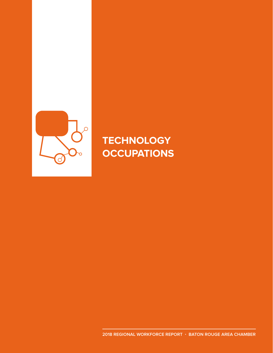

# **TECHNOLOGY OCCUPATIONS**

**2018 REGIONAL WORKFORCE REPORT · BATON ROUGE AREA CHAMBER**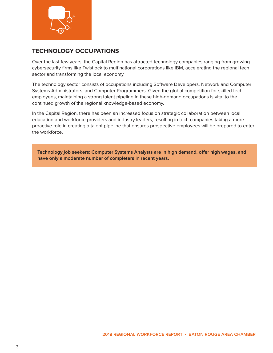

### **TECHNOLOGY OCCUPATIONS**

Over the last few years, the Capital Region has attracted technology companies ranging from growing cybersecurity firms like Twistlock to multinational corporations like IBM, accelerating the regional tech sector and transforming the local economy.

The technology sector consists of occupations including Software Developers, Network and Computer Systems Administrators, and Computer Programmers. Given the global competition for skilled tech employees, maintaining a strong talent pipeline in these high-demand occupations is vital to the continued growth of the regional knowledge-based economy.

In the Capital Region, there has been an increased focus on strategic collaboration between local education and workforce providers and industry leaders, resulting in tech companies taking a more proactive role in creating a talent pipeline that ensures prospective employees will be prepared to enter the workforce.

**Technology job seekers: Computer Systems Analysts are in high demand, offer high wages, and have only a moderate number of completers in recent years.**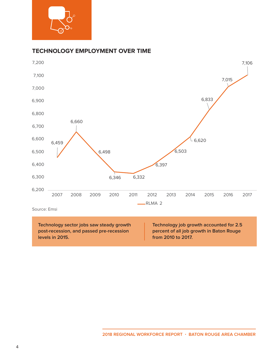

#### **TECHNOLOGY EMPLOYMENT OVER TIME**



**Technology sector jobs saw steady growth post-recession, and passed pre-recession levels in 2015.**

**Technology job growth accounted for 2.5 percent of all job growth in Baton Rouge from 2010 to 2017.**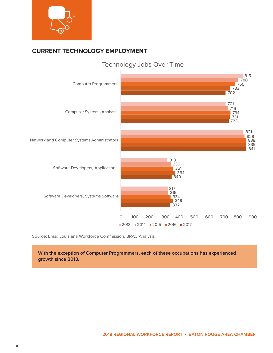

# **CURRENT TECHNOLOGY EMPLOYMENT**



Source: Emsi, Louisiana Workforce Commission, BRAC Analysis

**With the exception of Computer Programmers, each of these occupations has experienced growth since 2013.**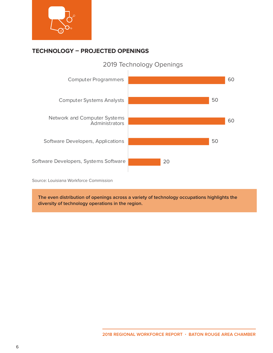

# **TECHNOLOGY – PROJECTED OPENINGS**



2019 Technology Openings

Source: Louisiana Workforce Commission

**The even distribution of openings across a variety of technology occupations highlights the diversity of technology operations in the region.**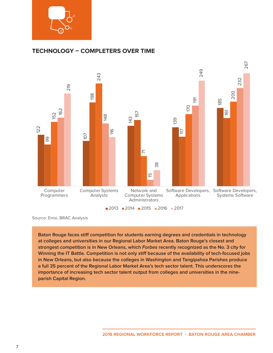

#### **TECHNOLOGY – COMPLETERS OVER TIME**



**Baton Rouge faces stiff competition for students earning degrees and credentials in technology at colleges and universities in our Regional Labor Market Area. Baton Rouge's closest and strongest competition is in New Orleans, which Forbes recently recognized as the No. 3 city for Winning the IT Battle. Competition is not only stiff because of the availability of tech-focused jobs in New Orleans, but also because the colleges in Washington and Tangipahoa Parishes produce a full 35 percent of the Regional Labor Market Area's tech sector talent. This underscores the importance of increasing tech sector talent output from colleges and universities in the nineparish Capital Region.**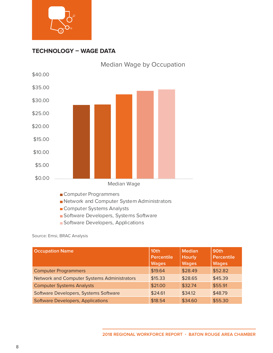

#### **TECHNOLOGY – WAGE DATA**



- Computer Systems Analysts
- Software Developers, Systems Software
- **Software Developers, Applications**

Source: Emsi, BRAC Analysis

| <b>Occupation Name</b>                      | 10th<br><b>Percentile</b><br><b>Wages</b> | <b>Median</b><br><b>Hourly</b><br><b>Wages</b> | 90th<br><b>Percentile</b><br><b>Wages</b> |
|---------------------------------------------|-------------------------------------------|------------------------------------------------|-------------------------------------------|
| <b>Computer Programmers</b>                 | \$19.64                                   | \$28.49                                        | \$52.82                                   |
| Network and Computer Systems Administrators | \$15.33                                   | \$28.65                                        | \$45.39                                   |
| <b>Computer Systems Analysts</b>            | \$21.00                                   | \$32.74                                        | \$55.91                                   |
| Software Developers, Systems Software       | \$24.61                                   | \$34.12                                        | \$48.79                                   |
| <b>Software Developers, Applications</b>    | \$18.54                                   | \$34.60                                        | \$55.30                                   |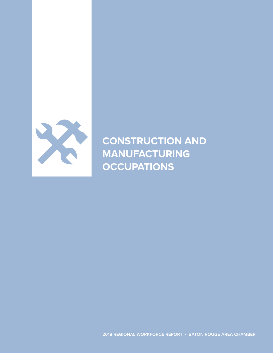

**CONSTRUCTION AND MANUFACTURING OCCUPATIONS**

**2018 REGIONAL WORKFORCE REPORT · BATON ROUGE AREA CHAMBER**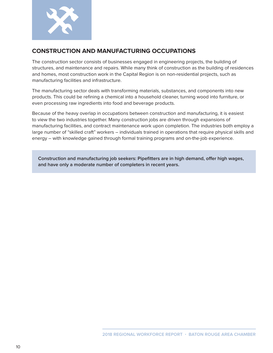

#### **CONSTRUCTION AND MANUFACTURING OCCUPATIONS**

The construction sector consists of businesses engaged in engineering projects, the building of structures, and maintenance and repairs. While many think of construction as the building of residences and homes, most construction work in the Capital Region is on non-residential projects, such as manufacturing facilities and infrastructure.

The manufacturing sector deals with transforming materials, substances, and components into new products. This could be refining a chemical into a household cleaner, turning wood into furniture, or even processing raw ingredients into food and beverage products.

Because of the heavy overlap in occupations between construction and manufacturing, it is easiest to view the two industries together. Many construction jobs are driven through expansions of manufacturing facilities, and contract maintenance work upon completion. The industries both employ a large number of "skilled craft" workers – individuals trained in operations that require physical skills and energy – with knowledge gained through formal training programs and on-the-job experience.

**Construction and manufacturing job seekers: Pipefitters are in high demand, offer high wages, and have only a moderate number of completers in recent years.**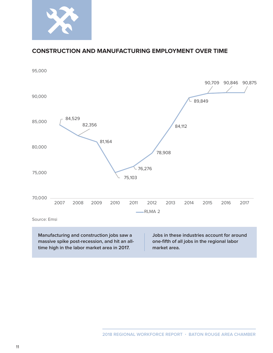

#### **CONSTRUCTION AND MANUFACTURING EMPLOYMENT OVER TIME**

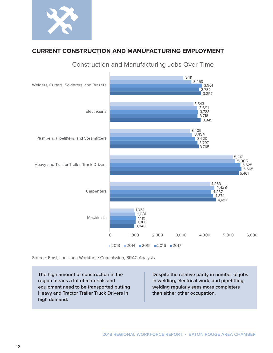

### **CURRENT CONSTRUCTION AND MANUFACTURING EMPLOYMENT**



Construction and Manufacturing Jobs Over Time

Source: Emsi, Louisiana Workforce Commission, BRAC Analysis

**The high amount of construction in the region means a lot of materials and equipment need to be transported putting Heavy and Tractor Trailer Truck Drivers in high demand.**

**Despite the relative parity in number of jobs in welding, electrical work, and pipefitting, welding regularly sees more completers than either other occupation.**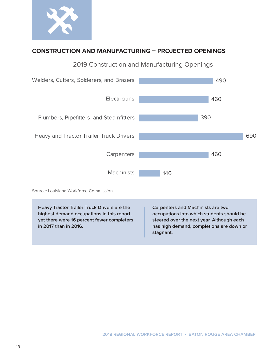

# **CONSTRUCTION AND MANUFACTURING – PROJECTED OPENINGS**



2019 Construction and Manufacturing Openings

Source: Louisiana Workforce Commission

**Heavy Tractor Trailer Truck Drivers are the highest demand occupations in this report, yet there were 16 percent fewer completers in 2017 than in 2016.**

**Carpenters and Machinists are two occupations into which students should be steered over the next year. Although each has high demand, completions are down or stagnant.**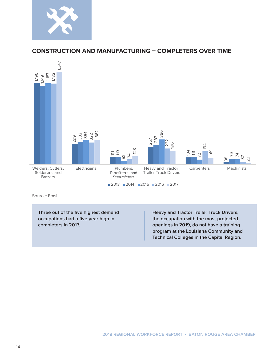

#### **CONSTRUCTION AND MANUFACTURING – COMPLETERS OVER TIME**



Source: Emsi

**Three out of the five highest demand occupations had a five-year high in completers in 2017.**

**Heavy and Tractor Trailer Truck Drivers, the occupation with the most projected openings in 2019, do not have a training program at the Louisiana Community and Technical Colleges in the Capital Region.**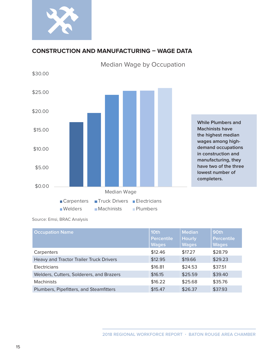

# **CONSTRUCTION AND MANUFACTURING – WAGE DATA**



Median Wage by Occupation

Source: Emsi, BRAC Analysis

| <b>Occupation Name</b>                   | 10th<br><b>Percentile</b><br><b>Wages</b> | <b>Median</b><br><b>Hourly</b><br><b>Wages</b> | 90th<br><b>Percentile</b><br><b>Wages</b> |
|------------------------------------------|-------------------------------------------|------------------------------------------------|-------------------------------------------|
| Carpenters                               | \$12.46                                   | \$17.27                                        | \$28.79                                   |
| Heavy and Tractor Trailer Truck Drivers  | \$12.95                                   | \$19.66                                        | \$29.23                                   |
| Electricians                             | \$16.81                                   | \$24.53                                        | \$37.51                                   |
| Welders, Cutters, Solderers, and Brazers | \$16.15                                   | \$25.59                                        | \$39.40                                   |
| <b>Machinists</b>                        | \$16.22                                   | \$25.68                                        | \$35.76                                   |
| Plumbers, Pipefitters, and Steamfitters  | \$15.47                                   | \$26.37                                        | \$37.93                                   |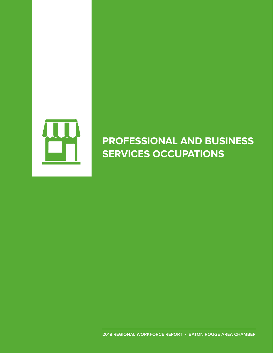

# **PROFESSIONAL AND BUSINESS SERVICES OCCUPATIONS**

**2018 REGIONAL WORKFORCE REPORT · BATON ROUGE AREA CHAMBER**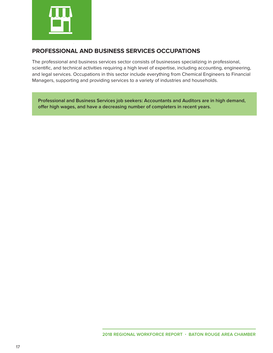

#### **PROFESSIONAL AND BUSINESS SERVICES OCCUPATIONS**

The professional and business services sector consists of businesses specializing in professional, scientific, and technical activities requiring a high level of expertise, including accounting, engineering, and legal services. Occupations in this sector include everything from Chemical Engineers to Financial Managers, supporting and providing services to a variety of industries and households.

**Professional and Business Services job seekers: Accountants and Auditors are in high demand, offer high wages, and have a decreasing number of completers in recent years.**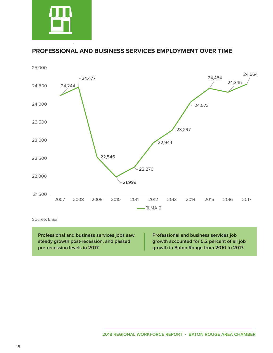

#### **PROFESSIONAL AND BUSINESS SERVICES EMPLOYMENT OVER TIME**



Source: Emsi

**Professional and business services jobs saw steady growth post-recession, and passed pre-recession levels in 2017.**

**Professional and business services job growth accounted for 5.2 percent of all job growth in Baton Rouge from 2010 to 2017.**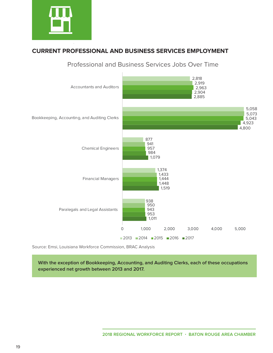

### **CURRENT PROFESSIONAL AND BUSINESS SERVICES EMPLOYMENT**



Professional and Business Services Jobs Over Time

Source: Emsi, Louisiana Workforce Commission, BRAC Analysis

**With the exception of Bookkeeping, Accounting, and Auditing Clerks, each of these occupations experienced net growth between 2013 and 2017.**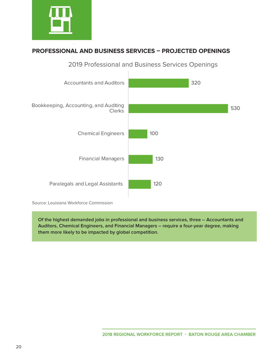

# **PROFESSIONAL AND BUSINESS SERVICES – PROJECTED OPENINGS**



2019 Professional and Business Services Openings

Source: Louisiana Workforce Commission

**Of the highest demanded jobs in professional and business services, three – Accountants and Auditors, Chemical Engineers, and Financial Managers – require a four-year degree, making them more likely to be impacted by global competition.**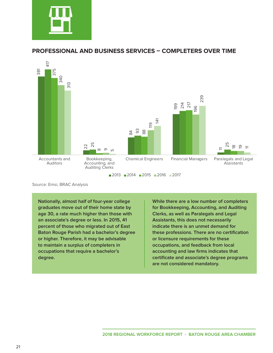

#### **PROFESSIONAL AND BUSINESS SERVICES – COMPLETERS OVER TIME**



■ 2013 ■ 2014 ■ 2015 ■ 2016 ■ 2017

**Nationally, almost half of four-year college graduates move out of their home state by age 30, a rate much higher than those with an associate's degree or less. In 2015, 41 percent of those who migrated out of East Baton Rouge Parish had a bachelor's degree or higher. Therefore, it may be advisable to maintain a surplus of completers in occupations that require a bachelor's degree.**

**While there are a low number of completers for Bookkeeping, Accounting, and Auditing Clerks, as well as Paralegals and Legal Assistants, this does not necessarily indicate there is an unmet demand for these professions. There are no certification or licensure requirements for these occupations, and feedback from local accounting and law firms indicates that certificate and associate's degree programs are not considered mandatory.**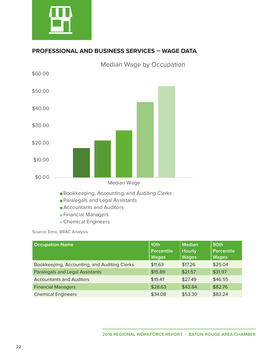

# **PROFESSIONAL AND BUSINESS SERVICES – WAGE DATA**



- 
- **Financial Managers**
- Chemical Engineers

Source: Emsi, BRAC Analysis

| <b>Occupation Name</b>                       | 10th<br>Percentile<br><b>Wages</b> | <b>Median</b><br><b>Hourly</b><br><b>Wages</b> | 90th<br><b>Percentile</b><br><b>Wages</b> |
|----------------------------------------------|------------------------------------|------------------------------------------------|-------------------------------------------|
| Bookkeeping, Accounting, and Auditing Clerks | \$11.63                            | \$17.26                                        | \$25.04                                   |
| <b>Paralegals and Legal Assistants</b>       | \$15.89                            | \$21.57                                        | \$31.97                                   |
| <b>Accountants and Auditors</b>              | \$19.47                            | \$27.49                                        | \$46.55                                   |
| <b>Financial Managers</b>                    | \$28.63                            | \$43.84                                        | \$82.76                                   |
| <b>Chemical Engineers</b>                    | \$34.08                            | \$53.30                                        | \$83.24                                   |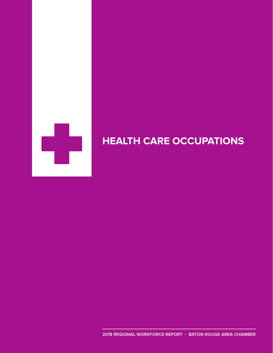

# **HEALTH CARE OCCUPATIONS**

**2018 REGIONAL WORKFORCE REPORT · BATON ROUGE AREA CHAMBER**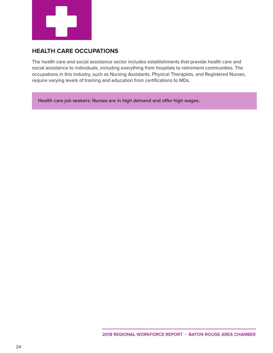

#### **HEALTH CARE OCCUPATIONS**

The health care and social assistance sector includes establishments that provide health care and social assistance to individuals, including everything from hospitals to retirement communities. The occupations in this industry, such as Nursing Assistants, Physical Therapists, and Registered Nurses, require varying levels of training and education from certifications to MDs.

**Health care job seekers: Nurses are in high demand and offer high wages.**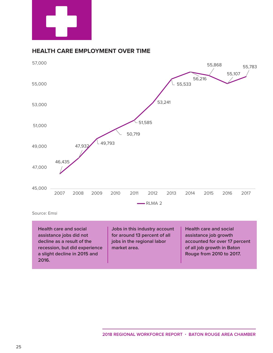

#### **HEALTH CARE EMPLOYMENT OVER TIME**



Source: Emsi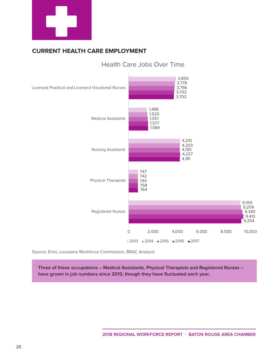

# **CURRENT HEALTH CARE EMPLOYMENT**



# Health Care Jobs Over Time

Source: Emsi, Louisiana Workforce Commission, BRAC Analysis

**Three of these occupations – Medical Assistants, Physical Therapists and Registered Nurses – have grown in job numbers since 2013, though they have fluctuated each year.**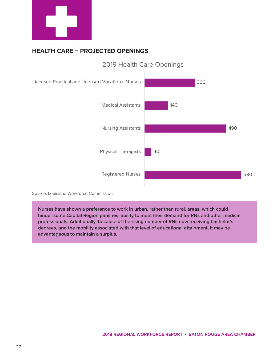

# **HEALTH CARE – PROJECTED OPENINGS**



# 2019 Health Care Openings

Source: Louisiana Workforce Commission

**Nurses have shown a preference to work in urban, rather than rural, areas, which could hinder some Capital Region parishes' ability to meet their demand for RNs and other medical professionals. Additionally, because of the rising number of RNs now receiving bachelor's degrees, and the mobility associated with that level of educational attainment, it may be advantageous to maintain a surplus.**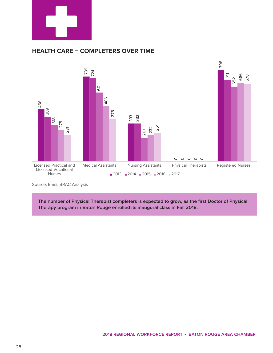

#### **HEALTH CARE – COMPLETERS OVER TIME**



Source: Emsi, BRAC Analysis

**The number of Physical Therapist completers is expected to grow, as the first Doctor of Physical Therapy program in Baton Rouge enrolled its inaugural class in Fall 2018.**